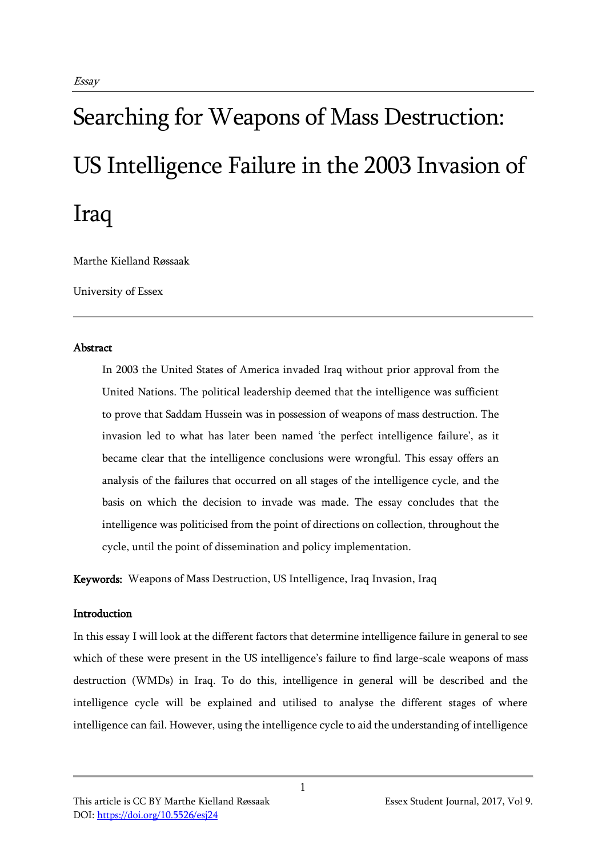# Searching for Weapons of Mass Destruction: US Intelligence Failure in the 2003 Invasion of Iraq

Marthe Kielland Røssaak

University of Essex

## Abstract

In 2003 the United States of America invaded Iraq without prior approval from the United Nations. The political leadership deemed that the intelligence was sufficient to prove that Saddam Hussein was in possession of weapons of mass destruction. The invasion led to what has later been named 'the perfect intelligence failure', as it became clear that the intelligence conclusions were wrongful. This essay offers an analysis of the failures that occurred on all stages of the intelligence cycle, and the basis on which the decision to invade was made. The essay concludes that the intelligence was politicised from the point of directions on collection, throughout the cycle, until the point of dissemination and policy implementation.

Keywords: Weapons of Mass Destruction, US Intelligence, Iraq Invasion, Iraq

## Introduction

In this essay I will look at the different factors that determine intelligence failure in general to see which of these were present in the US intelligence's failure to find large-scale weapons of mass destruction (WMDs) in Iraq. To do this, intelligence in general will be described and the intelligence cycle will be explained and utilised to analyse the different stages of where intelligence can fail. However, using the intelligence cycle to aid the understanding of intelligence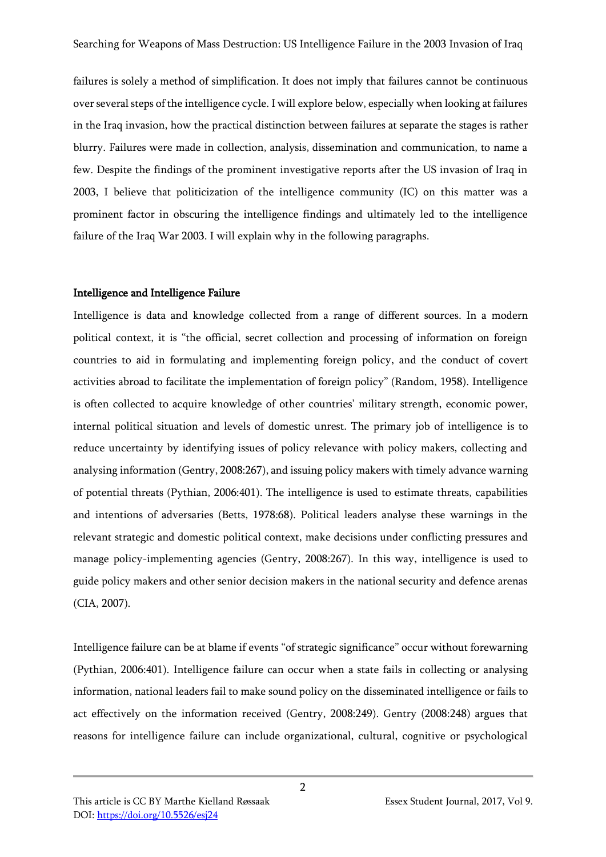failures is solely a method of simplification. It does not imply that failures cannot be continuous over several steps of the intelligence cycle. I will explore below, especially when looking at failures in the Iraq invasion, how the practical distinction between failures at separate the stages is rather blurry. Failures were made in collection, analysis, dissemination and communication, to name a few. Despite the findings of the prominent investigative reports after the US invasion of Iraq in 2003, I believe that politicization of the intelligence community (IC) on this matter was a prominent factor in obscuring the intelligence findings and ultimately led to the intelligence failure of the Iraq War 2003. I will explain why in the following paragraphs.

#### Intelligence and Intelligence Failure

Intelligence is data and knowledge collected from a range of different sources. In a modern political context, it is "the official, secret collection and processing of information on foreign countries to aid in formulating and implementing foreign policy, and the conduct of covert activities abroad to facilitate the implementation of foreign policy" (Random, 1958). Intelligence is often collected to acquire knowledge of other countries' military strength, economic power, internal political situation and levels of domestic unrest. The primary job of intelligence is to reduce uncertainty by identifying issues of policy relevance with policy makers, collecting and analysing information (Gentry, 2008:267), and issuing policy makers with timely advance warning of potential threats (Pythian, 2006:401). The intelligence is used to estimate threats, capabilities and intentions of adversaries (Betts, 1978:68). Political leaders analyse these warnings in the relevant strategic and domestic political context, make decisions under conflicting pressures and manage policy-implementing agencies (Gentry, 2008:267). In this way, intelligence is used to guide policy makers and other senior decision makers in the national security and defence arenas (CIA, 2007).

Intelligence failure can be at blame if events "of strategic significance" occur without forewarning (Pythian, 2006:401). Intelligence failure can occur when a state fails in collecting or analysing information, national leaders fail to make sound policy on the disseminated intelligence or fails to act effectively on the information received (Gentry, 2008:249). Gentry (2008:248) argues that reasons for intelligence failure can include organizational, cultural, cognitive or psychological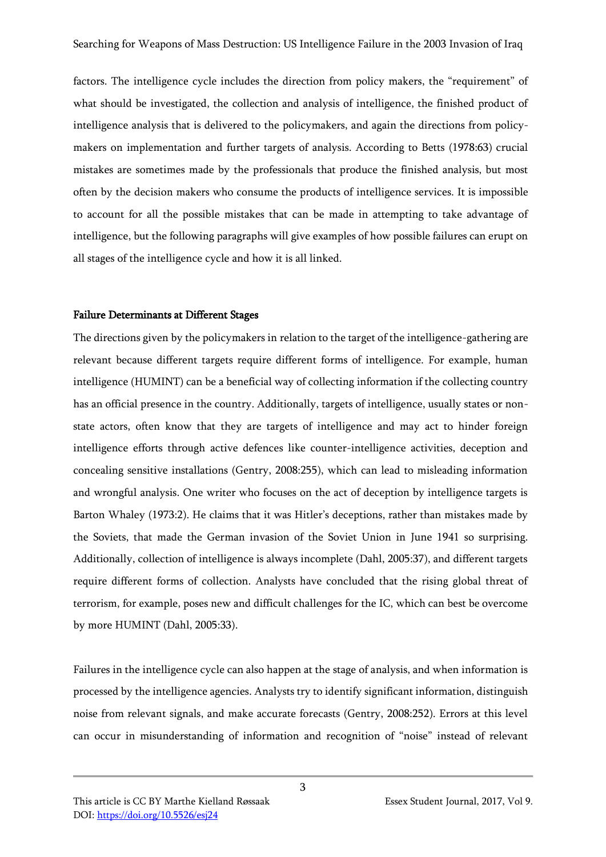factors. The intelligence cycle includes the direction from policy makers, the "requirement" of what should be investigated, the collection and analysis of intelligence, the finished product of intelligence analysis that is delivered to the policymakers, and again the directions from policymakers on implementation and further targets of analysis. According to Betts (1978:63) crucial mistakes are sometimes made by the professionals that produce the finished analysis, but most often by the decision makers who consume the products of intelligence services. It is impossible to account for all the possible mistakes that can be made in attempting to take advantage of intelligence, but the following paragraphs will give examples of how possible failures can erupt on all stages of the intelligence cycle and how it is all linked.

#### Failure Determinants at Different Stages

The directions given by the policymakers in relation to the target of the intelligence-gathering are relevant because different targets require different forms of intelligence. For example, human intelligence (HUMINT) can be a beneficial way of collecting information if the collecting country has an official presence in the country. Additionally, targets of intelligence, usually states or nonstate actors, often know that they are targets of intelligence and may act to hinder foreign intelligence efforts through active defences like counter-intelligence activities, deception and concealing sensitive installations (Gentry, 2008:255), which can lead to misleading information and wrongful analysis. One writer who focuses on the act of deception by intelligence targets is Barton Whaley (1973:2). He claims that it was Hitler's deceptions, rather than mistakes made by the Soviets, that made the German invasion of the Soviet Union in June 1941 so surprising. Additionally, collection of intelligence is always incomplete (Dahl, 2005:37), and different targets require different forms of collection. Analysts have concluded that the rising global threat of terrorism, for example, poses new and difficult challenges for the IC, which can best be overcome by more HUMINT (Dahl, 2005:33).

Failures in the intelligence cycle can also happen at the stage of analysis, and when information is processed by the intelligence agencies. Analysts try to identify significant information, distinguish noise from relevant signals, and make accurate forecasts (Gentry, 2008:252). Errors at this level can occur in misunderstanding of information and recognition of "noise" instead of relevant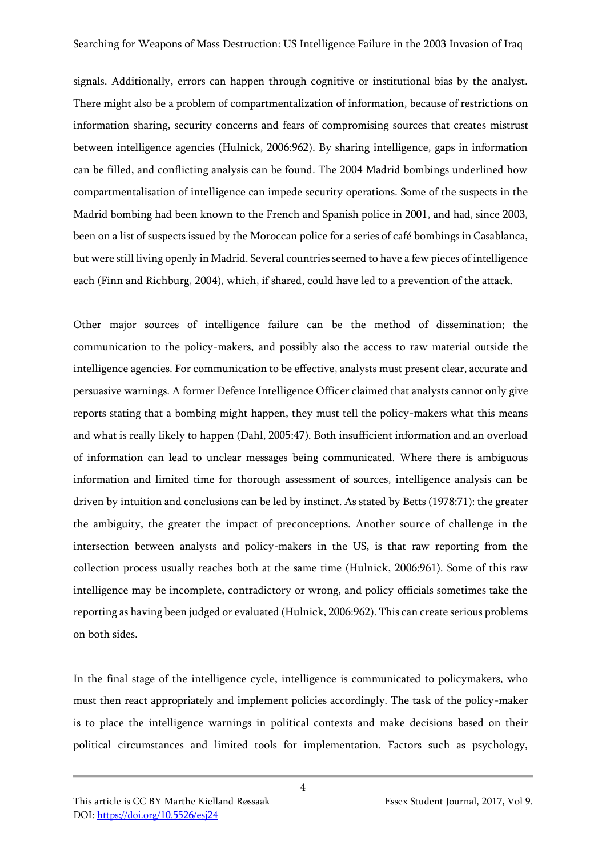signals. Additionally, errors can happen through cognitive or institutional bias by the analyst. There might also be a problem of compartmentalization of information, because of restrictions on information sharing, security concerns and fears of compromising sources that creates mistrust between intelligence agencies (Hulnick, 2006:962). By sharing intelligence, gaps in information can be filled, and conflicting analysis can be found. The 2004 Madrid bombings underlined how compartmentalisation of intelligence can impede security operations. Some of the suspects in the Madrid bombing had been known to the French and Spanish police in 2001, and had, since 2003, been on a list of suspects issued by the Moroccan police for a series of café bombings in Casablanca, but were still living openly in Madrid. Several countries seemed to have a few pieces of intelligence each (Finn and Richburg, 2004), which, if shared, could have led to a prevention of the attack.

Other major sources of intelligence failure can be the method of dissemination; the communication to the policy-makers, and possibly also the access to raw material outside the intelligence agencies. For communication to be effective, analysts must present clear, accurate and persuasive warnings. A former Defence Intelligence Officer claimed that analysts cannot only give reports stating that a bombing might happen, they must tell the policy-makers what this means and what is really likely to happen (Dahl, 2005:47). Both insufficient information and an overload of information can lead to unclear messages being communicated. Where there is ambiguous information and limited time for thorough assessment of sources, intelligence analysis can be driven by intuition and conclusions can be led by instinct. As stated by Betts (1978:71): the greater the ambiguity, the greater the impact of preconceptions. Another source of challenge in the intersection between analysts and policy-makers in the US, is that raw reporting from the collection process usually reaches both at the same time (Hulnick, 2006:961). Some of this raw intelligence may be incomplete, contradictory or wrong, and policy officials sometimes take the reporting as having been judged or evaluated (Hulnick, 2006:962). This can create serious problems on both sides.

In the final stage of the intelligence cycle, intelligence is communicated to policymakers, who must then react appropriately and implement policies accordingly. The task of the policy-maker is to place the intelligence warnings in political contexts and make decisions based on their political circumstances and limited tools for implementation. Factors such as psychology,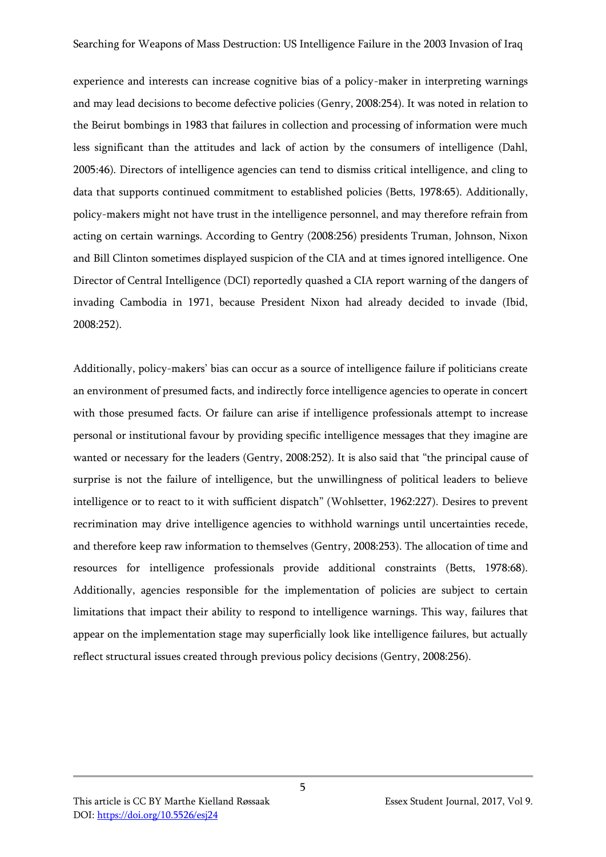experience and interests can increase cognitive bias of a policy-maker in interpreting warnings and may lead decisions to become defective policies (Genry, 2008:254). It was noted in relation to the Beirut bombings in 1983 that failures in collection and processing of information were much less significant than the attitudes and lack of action by the consumers of intelligence (Dahl, 2005:46). Directors of intelligence agencies can tend to dismiss critical intelligence, and cling to data that supports continued commitment to established policies (Betts, 1978:65). Additionally, policy-makers might not have trust in the intelligence personnel, and may therefore refrain from acting on certain warnings. According to Gentry (2008:256) presidents Truman, Johnson, Nixon and Bill Clinton sometimes displayed suspicion of the CIA and at times ignored intelligence. One Director of Central Intelligence (DCI) reportedly quashed a CIA report warning of the dangers of invading Cambodia in 1971, because President Nixon had already decided to invade (Ibid, 2008:252).

Additionally, policy-makers' bias can occur as a source of intelligence failure if politicians create an environment of presumed facts, and indirectly force intelligence agencies to operate in concert with those presumed facts. Or failure can arise if intelligence professionals attempt to increase personal or institutional favour by providing specific intelligence messages that they imagine are wanted or necessary for the leaders (Gentry, 2008:252). It is also said that "the principal cause of surprise is not the failure of intelligence, but the unwillingness of political leaders to believe intelligence or to react to it with sufficient dispatch" (Wohlsetter, 1962:227). Desires to prevent recrimination may drive intelligence agencies to withhold warnings until uncertainties recede, and therefore keep raw information to themselves (Gentry, 2008:253). The allocation of time and resources for intelligence professionals provide additional constraints (Betts, 1978:68). Additionally, agencies responsible for the implementation of policies are subject to certain limitations that impact their ability to respond to intelligence warnings. This way, failures that appear on the implementation stage may superficially look like intelligence failures, but actually reflect structural issues created through previous policy decisions (Gentry, 2008:256).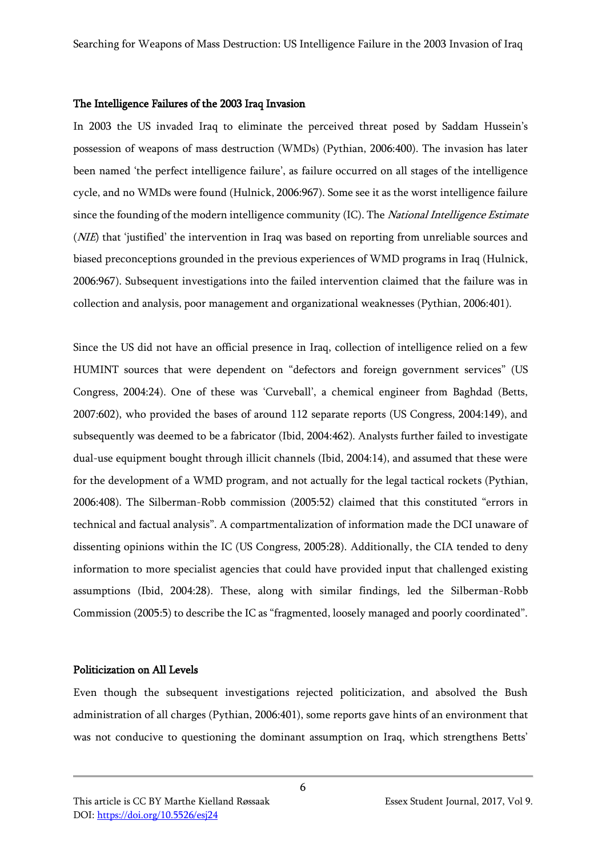#### The Intelligence Failures of the 2003 Iraq Invasion

In 2003 the US invaded Iraq to eliminate the perceived threat posed by Saddam Hussein's possession of weapons of mass destruction (WMDs) (Pythian, 2006:400). The invasion has later been named 'the perfect intelligence failure', as failure occurred on all stages of the intelligence cycle, and no WMDs were found (Hulnick, 2006:967). Some see it as the worst intelligence failure since the founding of the modern intelligence community (IC). The *National Intelligence Estimate* (*NIE*) that 'justified' the intervention in Iraq was based on reporting from unreliable sources and biased preconceptions grounded in the previous experiences of WMD programs in Iraq (Hulnick, 2006:967). Subsequent investigations into the failed intervention claimed that the failure was in collection and analysis, poor management and organizational weaknesses (Pythian, 2006:401).

Since the US did not have an official presence in Iraq, collection of intelligence relied on a few HUMINT sources that were dependent on "defectors and foreign government services" (US Congress, 2004:24). One of these was 'Curveball', a chemical engineer from Baghdad (Betts, 2007:602), who provided the bases of around 112 separate reports (US Congress, 2004:149), and subsequently was deemed to be a fabricator (Ibid, 2004:462). Analysts further failed to investigate dual-use equipment bought through illicit channels (Ibid, 2004:14), and assumed that these were for the development of a WMD program, and not actually for the legal tactical rockets (Pythian, 2006:408). The Silberman-Robb commission (2005:52) claimed that this constituted "errors in technical and factual analysis". A compartmentalization of information made the DCI unaware of dissenting opinions within the IC (US Congress, 2005:28). Additionally, the CIA tended to deny information to more specialist agencies that could have provided input that challenged existing assumptions (Ibid, 2004:28). These, along with similar findings, led the Silberman-Robb Commission (2005:5) to describe the IC as "fragmented, loosely managed and poorly coordinated".

## Politicization on All Levels

Even though the subsequent investigations rejected politicization, and absolved the Bush administration of all charges (Pythian, 2006:401), some reports gave hints of an environment that was not conducive to questioning the dominant assumption on Iraq, which strengthens Betts'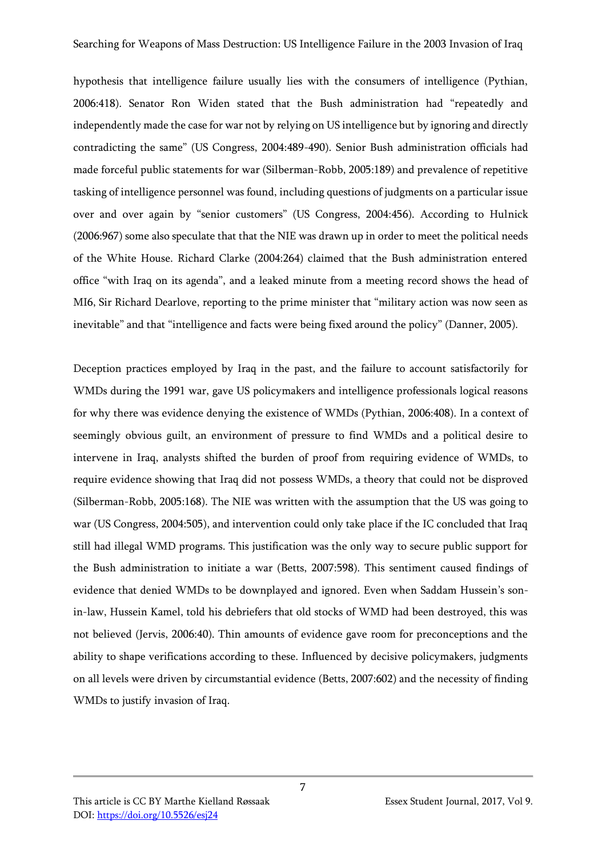hypothesis that intelligence failure usually lies with the consumers of intelligence (Pythian, 2006:418). Senator Ron Widen stated that the Bush administration had "repeatedly and independently made the case for war not by relying on US intelligence but by ignoring and directly contradicting the same" (US Congress, 2004:489-490). Senior Bush administration officials had made forceful public statements for war (Silberman-Robb, 2005:189) and prevalence of repetitive tasking of intelligence personnel was found, including questions of judgments on a particular issue over and over again by "senior customers" (US Congress, 2004:456). According to Hulnick (2006:967) some also speculate that that the NIE was drawn up in order to meet the political needs of the White House. Richard Clarke (2004:264) claimed that the Bush administration entered office "with Iraq on its agenda", and a leaked minute from a meeting record shows the head of MI6, Sir Richard Dearlove, reporting to the prime minister that "military action was now seen as inevitable" and that "intelligence and facts were being fixed around the policy" (Danner, 2005).

Deception practices employed by Iraq in the past, and the failure to account satisfactorily for WMDs during the 1991 war, gave US policymakers and intelligence professionals logical reasons for why there was evidence denying the existence of WMDs (Pythian, 2006:408). In a context of seemingly obvious guilt, an environment of pressure to find WMDs and a political desire to intervene in Iraq, analysts shifted the burden of proof from requiring evidence of WMDs, to require evidence showing that Iraq did not possess WMDs, a theory that could not be disproved (Silberman-Robb, 2005:168). The NIE was written with the assumption that the US was going to war (US Congress, 2004:505), and intervention could only take place if the IC concluded that Iraq still had illegal WMD programs. This justification was the only way to secure public support for the Bush administration to initiate a war (Betts, 2007:598). This sentiment caused findings of evidence that denied WMDs to be downplayed and ignored. Even when Saddam Hussein's sonin-law, Hussein Kamel, told his debriefers that old stocks of WMD had been destroyed, this was not believed (Jervis, 2006:40). Thin amounts of evidence gave room for preconceptions and the ability to shape verifications according to these. Influenced by decisive policymakers, judgments on all levels were driven by circumstantial evidence (Betts, 2007:602) and the necessity of finding WMDs to justify invasion of Iraq.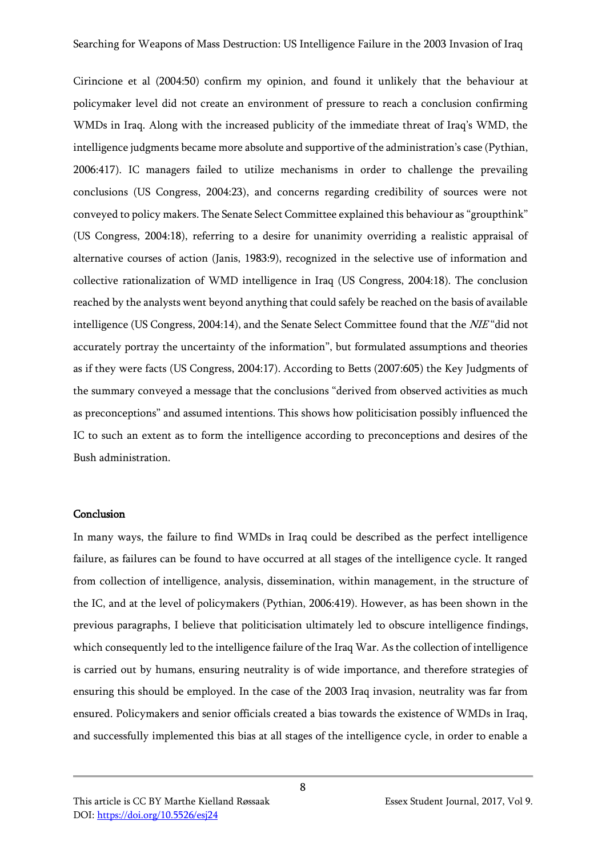Cirincione et al (2004:50) confirm my opinion, and found it unlikely that the behaviour at policymaker level did not create an environment of pressure to reach a conclusion confirming WMDs in Iraq. Along with the increased publicity of the immediate threat of Iraq's WMD, the intelligence judgments became more absolute and supportive of the administration's case (Pythian, 2006:417). IC managers failed to utilize mechanisms in order to challenge the prevailing conclusions (US Congress, 2004:23), and concerns regarding credibility of sources were not conveyed to policy makers. The Senate Select Committee explained this behaviour as "groupthink" (US Congress, 2004:18), referring to a desire for unanimity overriding a realistic appraisal of alternative courses of action (Janis, 1983:9), recognized in the selective use of information and collective rationalization of WMD intelligence in Iraq (US Congress, 2004:18). The conclusion reached by the analysts went beyond anything that could safely be reached on the basis of available intelligence (US Congress, 2004:14), and the Senate Select Committee found that the NIE "did not accurately portray the uncertainty of the information", but formulated assumptions and theories as if they were facts (US Congress, 2004:17). According to Betts (2007:605) the Key Judgments of the summary conveyed a message that the conclusions "derived from observed activities as much as preconceptions" and assumed intentions. This shows how politicisation possibly influenced the IC to such an extent as to form the intelligence according to preconceptions and desires of the Bush administration.

### Conclusion

In many ways, the failure to find WMDs in Iraq could be described as the perfect intelligence failure, as failures can be found to have occurred at all stages of the intelligence cycle. It ranged from collection of intelligence, analysis, dissemination, within management, in the structure of the IC, and at the level of policymakers (Pythian, 2006:419). However, as has been shown in the previous paragraphs, I believe that politicisation ultimately led to obscure intelligence findings, which consequently led to the intelligence failure of the Iraq War. As the collection of intelligence is carried out by humans, ensuring neutrality is of wide importance, and therefore strategies of ensuring this should be employed. In the case of the 2003 Iraq invasion, neutrality was far from ensured. Policymakers and senior officials created a bias towards the existence of WMDs in Iraq, and successfully implemented this bias at all stages of the intelligence cycle, in order to enable a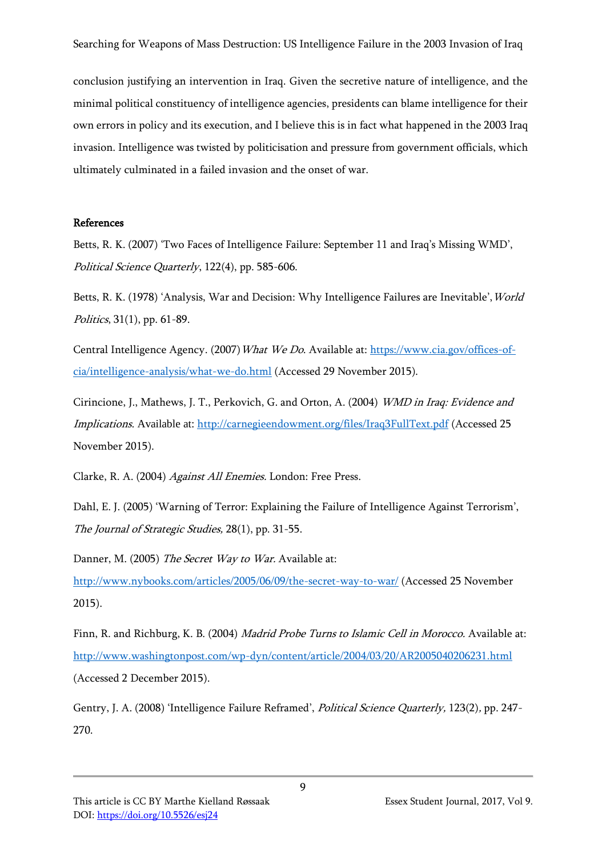conclusion justifying an intervention in Iraq. Given the secretive nature of intelligence, and the minimal political constituency of intelligence agencies, presidents can blame intelligence for their own errors in policy and its execution, and I believe this is in fact what happened in the 2003 Iraq invasion. Intelligence was twisted by politicisation and pressure from government officials, which ultimately culminated in a failed invasion and the onset of war.

## References

Betts, R. K. (2007) 'Two Faces of Intelligence Failure: September 11 and Iraq's Missing WMD', Political Science Quarterly, 122(4), pp. 585-606.

Betts, R. K. (1978) 'Analysis, War and Decision: Why Intelligence Failures are Inevitable', World Politics, 31(1), pp. 61-89.

Central Intelligence Agency. (2007) What We Do. Available at: [https://www.cia.gov/offices-of](https://www.cia.gov/offices-of-cia/intelligence-analysis/what-we-do.html)[cia/intelligence-analysis/what-we-do.html](https://www.cia.gov/offices-of-cia/intelligence-analysis/what-we-do.html) (Accessed 29 November 2015).

Cirincione, J., Mathews, J. T., Perkovich, G. and Orton, A. (2004) WMD in Iraq: Evidence and Implications. Available at: <http://carnegieendowment.org/files/Iraq3FullText.pdf> (Accessed 25 November 2015).

Clarke, R. A. (2004) Against All Enemies. London: Free Press.

Dahl, E. J. (2005) 'Warning of Terror: Explaining the Failure of Intelligence Against Terrorism', The Journal of Strategic Studies, 28(1), pp. 31-55.

Danner, M. (2005) The Secret Way to War. Available at:

<http://www.nybooks.com/articles/2005/06/09/the-secret-way-to-war/> (Accessed 25 November 2015).

Finn, R. and Richburg, K. B. (2004) Madrid Probe Turns to Islamic Cell in Morocco. Available at: <http://www.washingtonpost.com/wp-dyn/content/article/2004/03/20/AR2005040206231.html> (Accessed 2 December 2015).

Gentry, J. A. (2008) 'Intelligence Failure Reframed', *Political Science Quarterly*, 123(2), pp. 247-270.